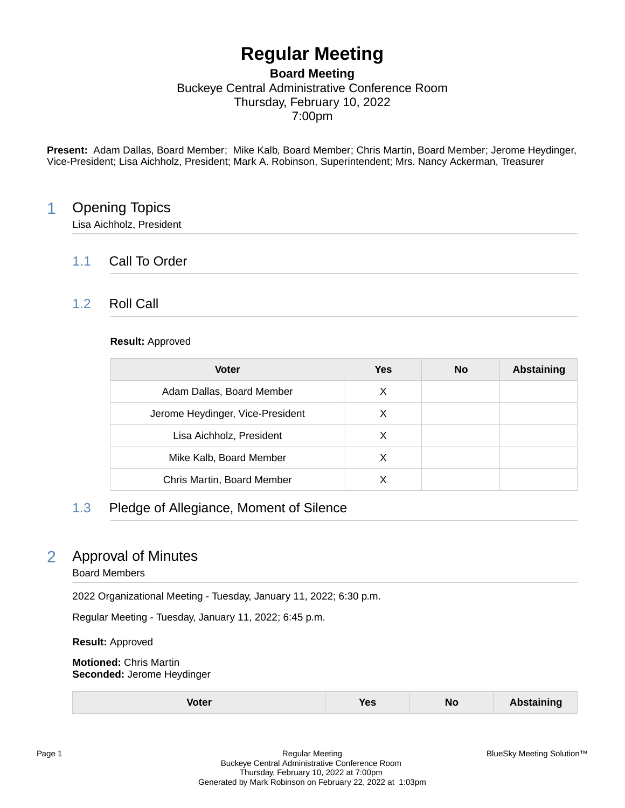# **Regular Meeting**

**Board Meeting**

Buckeye Central Administrative Conference Room Thursday, February 10, 2022

7:00pm

**Present:** Adam Dallas, Board Member; Mike Kalb, Board Member; Chris Martin, Board Member; Jerome Heydinger, Vice-President; Lisa Aichholz, President; Mark A. Robinson, Superintendent; Mrs. Nancy Ackerman, Treasurer

# 1 Opening Topics

Lisa Aichholz, President

# 1.1 Call To Order

### 1.2 Roll Call

### **Result:** Approved

| <b>Voter</b>                     | Yes | <b>No</b> | <b>Abstaining</b> |
|----------------------------------|-----|-----------|-------------------|
| Adam Dallas, Board Member        | X   |           |                   |
| Jerome Heydinger, Vice-President | X   |           |                   |
| Lisa Aichholz, President         | X   |           |                   |
| Mike Kalb, Board Member          | х   |           |                   |
| Chris Martin, Board Member       |     |           |                   |

# 1.3 Pledge of Allegiance, Moment of Silence

# 2 Approval of Minutes

### Board Members

2022 Organizational Meeting - Tuesday, January 11, 2022; 6:30 p.m.

Regular Meeting - Tuesday, January 11, 2022; 6:45 p.m.

**Result:** Approved

**Motioned:** Chris Martin **Seconded:** Jerome Heydinger

| Voter | <b>Yes</b> | <b>No</b> | Abstaining |
|-------|------------|-----------|------------|
|-------|------------|-----------|------------|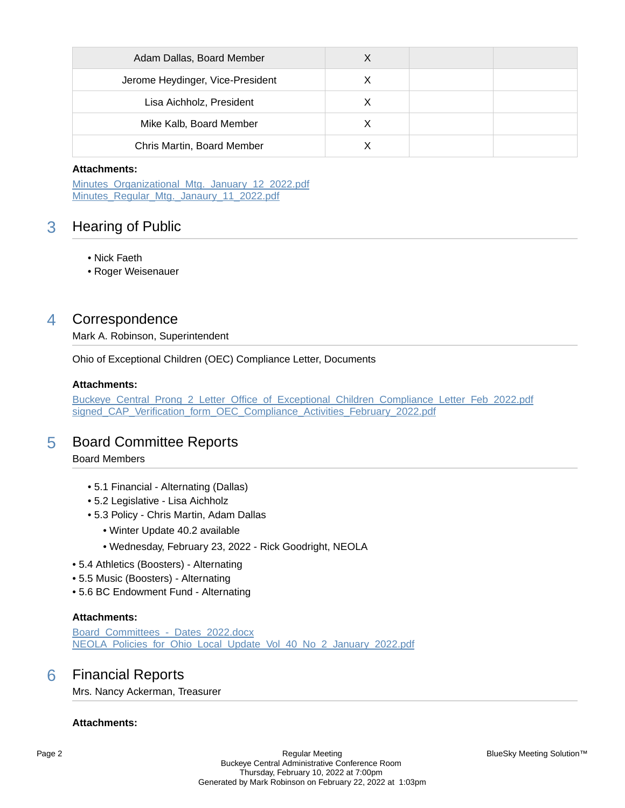| Adam Dallas, Board Member        | х |  |
|----------------------------------|---|--|
| Jerome Heydinger, Vice-President | X |  |
| Lisa Aichholz, President         | Х |  |
| Mike Kalb, Board Member          |   |  |
| Chris Martin, Board Member       |   |  |

Minutes Organizational Mtg. January 12 2022.pdf [Minutes\\_Regular\\_Mtg.\\_Janaury\\_11\\_2022.pdf](https://bcbucks.blueskymeeting.com/meeting_groups/32/item_attachments/64149)

# 3 Hearing of Public

- Nick Faeth
- Roger Weisenauer

# 4 Correspondence

Mark A. Robinson, Superintendent

Ohio of Exceptional Children (OEC) Compliance Letter, Documents

### **Attachments:**

[Buckeye\\_Central\\_Prong\\_2\\_Letter\\_Office\\_of\\_Exceptional\\_Children\\_Compliance\\_Letter\\_Feb\\_2022.pdf](https://bcbucks.blueskymeeting.com/meeting_groups/32/item_attachments/64441) [signed\\_CAP\\_Verification\\_form\\_OEC\\_Compliance\\_Activities\\_February\\_2022.pdf](https://bcbucks.blueskymeeting.com/meeting_groups/32/item_attachments/64442)

# 5 Board Committee Reports

### Board Members

- 5.1 Financial Alternating (Dallas)
- 5.2 Legislative Lisa Aichholz
- 5.3 Policy Chris Martin, Adam Dallas
	- Winter Update 40.2 available
	- Wednesday, February 23, 2022 Rick Goodright, NEOLA
- 5.4 Athletics (Boosters) Alternating
- 5.5 Music (Boosters) Alternating
- 5.6 BC Endowment Fund Alternating

### **Attachments:**

Board Committees - Dates 2022.docx NEOLA Policies for Ohio Local Update Vol 40 No 2 January 2022.pdf

# 6 Financial Reports

Mrs. Nancy Ackerman, Treasurer

### **Attachments:**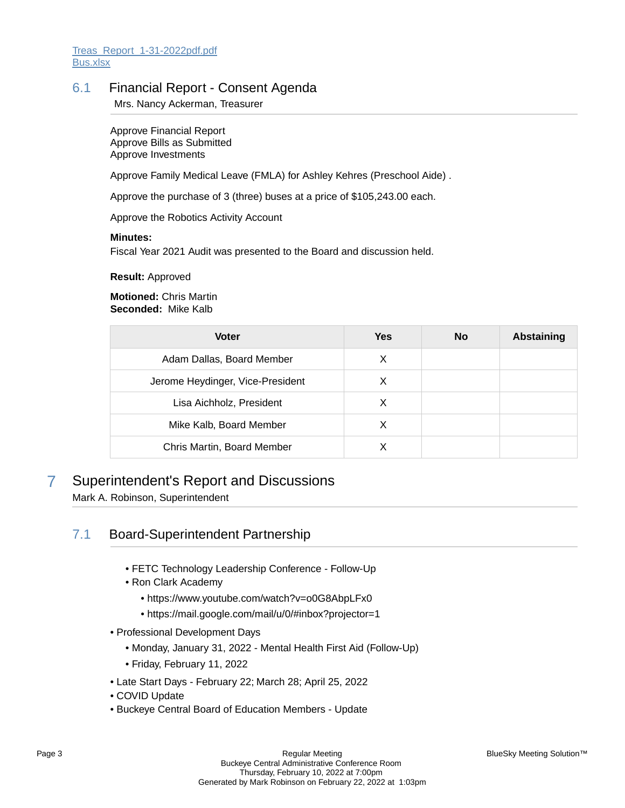### 6.1 Financial Report - Consent Agenda

Mrs. Nancy Ackerman, Treasurer

Approve Financial Report Approve Bills as Submitted Approve Investments

Approve Family Medical Leave (FMLA) for Ashley Kehres (Preschool Aide) .

Approve the purchase of 3 (three) buses at a price of \$105,243.00 each.

Approve the Robotics Activity Account

### **Minutes:**

Fiscal Year 2021 Audit was presented to the Board and discussion held.

### **Result:** Approved

**Motioned:** Chris Martin **Seconded:** Mike Kalb

| <b>Voter</b>                     | Yes | <b>No</b> | <b>Abstaining</b> |
|----------------------------------|-----|-----------|-------------------|
| Adam Dallas, Board Member        | X   |           |                   |
| Jerome Heydinger, Vice-President | X   |           |                   |
| Lisa Aichholz, President         | X   |           |                   |
| Mike Kalb, Board Member          | х   |           |                   |
| Chris Martin, Board Member       |     |           |                   |

# 7 Superintendent's Report and Discussions

Mark A. Robinson, Superintendent

# 7.1 Board-Superintendent Partnership

- FETC Technology Leadership Conference Follow-Up
- Ron Clark Academy
	- https://www.youtube.com/watch?v=o0G8AbpLFx0
	- https://mail.google.com/mail/u/0/#inbox?projector=1
- Professional Development Days
	- Monday, January 31, 2022 Mental Health First Aid (Follow-Up)
	- Friday, February 11, 2022
- Late Start Days February 22; March 28; April 25, 2022
- COVID Update
- Buckeye Central Board of Education Members Update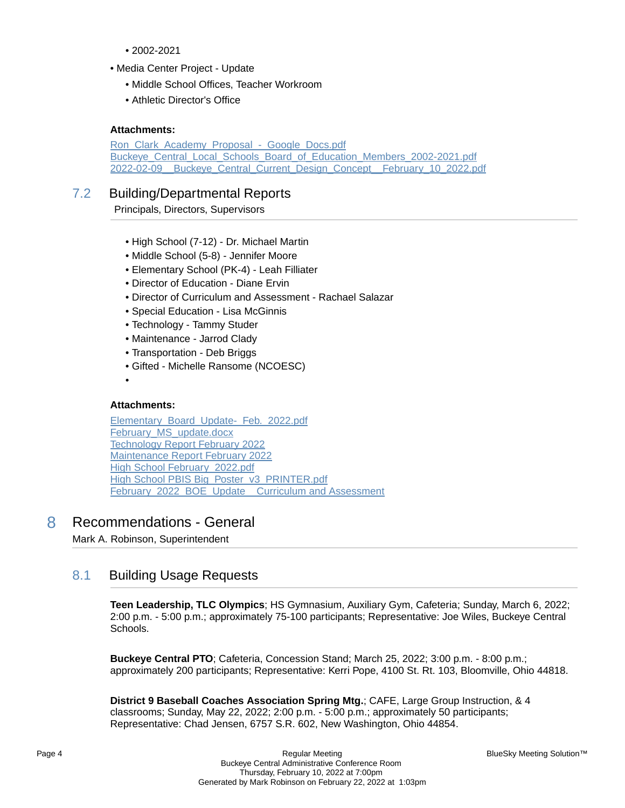- 2002-2021
- Media Center Project Update
	- Middle School Offices, Teacher Workroom
	- Athletic Director's Office

Ron\_Clark\_Academy\_Proposal - Google\_Docs.pdf [Buckeye\\_Central\\_Local\\_Schools\\_Board\\_of\\_Education\\_Members\\_2002-2021.pdf](https://bcbucks.blueskymeeting.com/meeting_groups/32/item_attachments/64234) 2022-02-09 Buckeye Central Current Design Concept February 10 2022.pdf

### 7.2 Building/Departmental Reports

Principals, Directors, Supervisors

- High School (7-12) Dr. Michael Martin
- Middle School (5-8) Jennifer Moore
- Elementary School (PK-4) Leah Filliater
- Director of Education Diane Ervin
- Director of Curriculum and Assessment Rachael Salazar
- Special Education Lisa McGinnis
- Technology Tammy Studer
- Maintenance Jarrod Clady
- Transportation Deb Briggs
- Gifted Michelle Ransome (NCOESC)
- •

### **Attachments:**

[Elementary\\_Board\\_Update-\\_Feb.\\_2022.pdf](https://bcbucks.blueskymeeting.com/meeting_groups/32/item_attachments/64225) February MS update.docx [Technology Report February 2022](https://bcbucks.blueskymeeting.com/meeting_groups/32/item_attachments/64239) [Maintenance Report February 2022](https://bcbucks.blueskymeeting.com/meeting_groups/32/item_attachments/64247) [High School February\\_2022.pdf](https://bcbucks.blueskymeeting.com/meeting_groups/32/item_attachments/64302) [High School PBIS Big\\_Poster\\_v3\\_PRINTER.pdf](https://bcbucks.blueskymeeting.com/meeting_groups/32/item_attachments/64303) [February\\_2022\\_BOE\\_Update\\_\\_Curriculum and Assessment](https://bcbucks.blueskymeeting.com/meeting_groups/32/item_attachments/64327)

### 8 Recommendations - General

Mark A. Robinson, Superintendent

### 8.1 Building Usage Requests

**Teen Leadership, TLC Olympics**; HS Gymnasium, Auxiliary Gym, Cafeteria; Sunday, March 6, 2022; 2:00 p.m. - 5:00 p.m.; approximately 75-100 participants; Representative: Joe Wiles, Buckeye Central Schools.

**Buckeye Central PTO**; Cafeteria, Concession Stand; March 25, 2022; 3:00 p.m. - 8:00 p.m.; approximately 200 participants; Representative: Kerri Pope, 4100 St. Rt. 103, Bloomville, Ohio 44818.

**District 9 Baseball Coaches Association Spring Mtg.**; CAFE, Large Group Instruction, & 4 classrooms; Sunday, May 22, 2022; 2:00 p.m. - 5:00 p.m.; approximately 50 participants; Representative: Chad Jensen, 6757 S.R. 602, New Washington, Ohio 44854.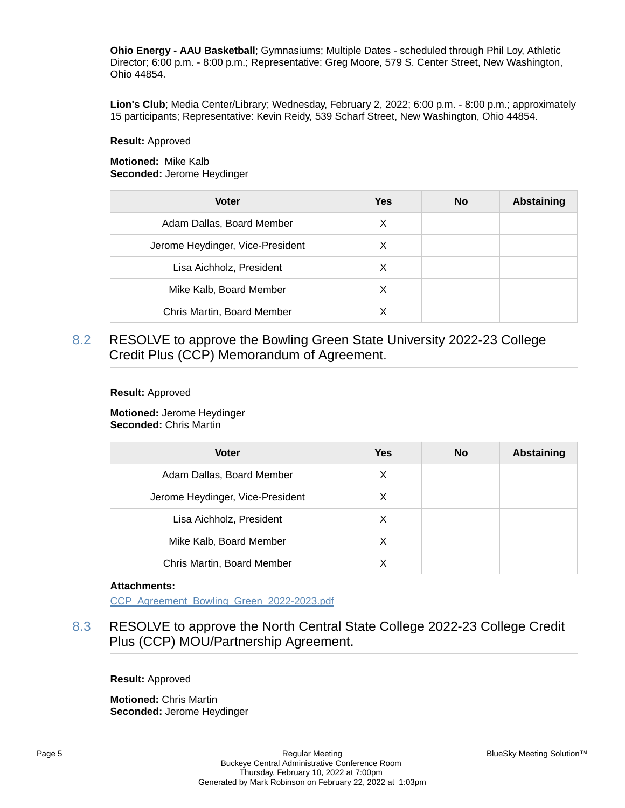**Ohio Energy - AAU Basketball**; Gymnasiums; Multiple Dates - scheduled through Phil Loy, Athletic Director; 6:00 p.m. - 8:00 p.m.; Representative: Greg Moore, 579 S. Center Street, New Washington, Ohio 44854.

**Lion's Club**; Media Center/Library; Wednesday, February 2, 2022; 6:00 p.m. - 8:00 p.m.; approximately 15 participants; Representative: Kevin Reidy, 539 Scharf Street, New Washington, Ohio 44854.

#### **Result:** Approved

**Motioned:** Mike Kalb **Seconded:** Jerome Heydinger

| <b>Voter</b>                     | <b>Yes</b> | <b>No</b> | <b>Abstaining</b> |
|----------------------------------|------------|-----------|-------------------|
| Adam Dallas, Board Member        | X          |           |                   |
| Jerome Heydinger, Vice-President | х          |           |                   |
| Lisa Aichholz, President         | X          |           |                   |
| Mike Kalb, Board Member          | X          |           |                   |
| Chris Martin, Board Member       |            |           |                   |

8.2 RESOLVE to approve the Bowling Green State University 2022-23 College Credit Plus (CCP) Memorandum of Agreement.

#### **Result:** Approved

**Motioned:** Jerome Heydinger **Seconded:** Chris Martin

| <b>Voter</b>                     | <b>Yes</b> | <b>No</b> | <b>Abstaining</b> |
|----------------------------------|------------|-----------|-------------------|
| Adam Dallas, Board Member        | Х          |           |                   |
| Jerome Heydinger, Vice-President | X          |           |                   |
| Lisa Aichholz, President         | X          |           |                   |
| Mike Kalb, Board Member          | X          |           |                   |
| Chris Martin, Board Member       | х          |           |                   |

### **Attachments:**

[CCP\\_Agreement\\_Bowling\\_Green\\_2022-2023.pdf](https://bcbucks.blueskymeeting.com/meeting_groups/32/item_attachments/64229)

8.3 RESOLVE to approve the North Central State College 2022-23 College Credit Plus (CCP) MOU/Partnership Agreement.

**Result:** Approved

**Motioned:** Chris Martin **Seconded:** Jerome Heydinger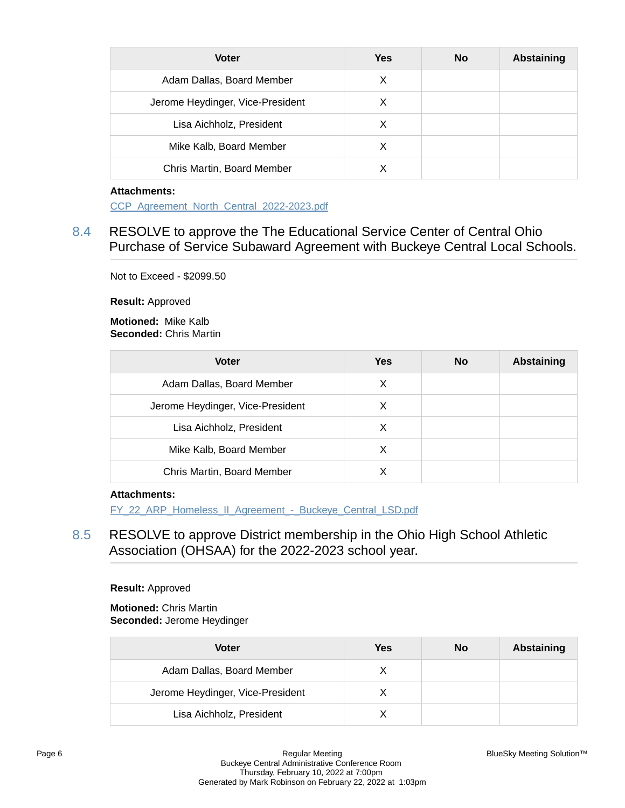| <b>Voter</b>                     | <b>Yes</b> | <b>No</b> | <b>Abstaining</b> |
|----------------------------------|------------|-----------|-------------------|
| Adam Dallas, Board Member        | X          |           |                   |
| Jerome Heydinger, Vice-President | X          |           |                   |
| Lisa Aichholz, President         | X          |           |                   |
| Mike Kalb, Board Member          | х          |           |                   |
| Chris Martin, Board Member       |            |           |                   |

[CCP\\_Agreement\\_North\\_Central\\_2022-2023.pdf](https://bcbucks.blueskymeeting.com/meeting_groups/32/item_attachments/64228)

# 8.4 RESOLVE to approve the The Educational Service Center of Central Ohio Purchase of Service Subaward Agreement with Buckeye Central Local Schools.

Not to Exceed - \$2099.50

**Result:** Approved

**Motioned:** Mike Kalb **Seconded:** Chris Martin

| <b>Voter</b>                     | <b>Yes</b> | <b>No</b> | <b>Abstaining</b> |
|----------------------------------|------------|-----------|-------------------|
| Adam Dallas, Board Member        | X          |           |                   |
| Jerome Heydinger, Vice-President | X          |           |                   |
| Lisa Aichholz, President         | X          |           |                   |
| Mike Kalb, Board Member          | х          |           |                   |
| Chris Martin, Board Member       |            |           |                   |

### **Attachments:**

FY\_22\_ARP\_Homeless\_II\_Agreement - Buckeye\_Central\_LSD.pdf

8.5 RESOLVE to approve District membership in the Ohio High School Athletic Association (OHSAA) for the 2022-2023 school year.

### **Result:** Approved

**Motioned:** Chris Martin **Seconded:** Jerome Heydinger

| <b>Voter</b>                     | Yes | <b>No</b> | <b>Abstaining</b> |
|----------------------------------|-----|-----------|-------------------|
| Adam Dallas, Board Member        |     |           |                   |
| Jerome Heydinger, Vice-President |     |           |                   |
| Lisa Aichholz, President         |     |           |                   |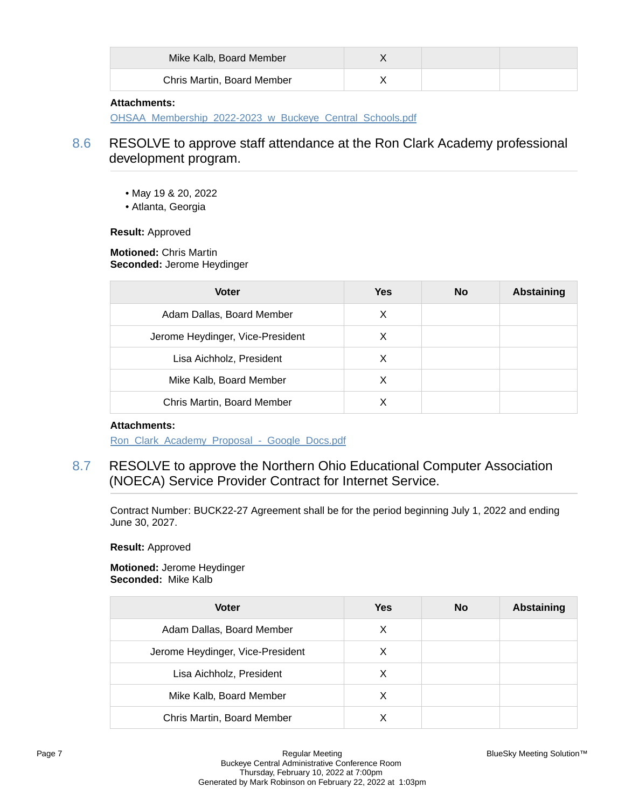| Mike Kalb, Board Member    |  |  |
|----------------------------|--|--|
| Chris Martin, Board Member |  |  |

[OHSAA\\_Membership\\_2022-2023\\_w\\_Buckeye\\_Central\\_Schools.pdf](https://bcbucks.blueskymeeting.com/meeting_groups/32/item_attachments/64233)

# 8.6 RESOLVE to approve staff attendance at the Ron Clark Academy professional development program.

- May 19 & 20, 2022
- Atlanta, Georgia

**Result:** Approved

**Motioned:** Chris Martin **Seconded:** Jerome Heydinger

| <b>Voter</b>                     | <b>Yes</b> | <b>No</b> | <b>Abstaining</b> |
|----------------------------------|------------|-----------|-------------------|
| Adam Dallas, Board Member        | X          |           |                   |
| Jerome Heydinger, Vice-President | X          |           |                   |
| Lisa Aichholz, President         | X          |           |                   |
| Mike Kalb, Board Member          | X          |           |                   |
| Chris Martin, Board Member       |            |           |                   |

### **Attachments:**

Ron\_Clark\_Academy\_Proposal - Google\_Docs.pdf

8.7 RESOLVE to approve the Northern Ohio Educational Computer Association (NOECA) Service Provider Contract for Internet Service.

Contract Number: BUCK22-27 Agreement shall be for the period beginning July 1, 2022 and ending June 30, 2027.

**Result:** Approved

**Motioned:** Jerome Heydinger **Seconded:** Mike Kalb

| <b>Voter</b>                     | <b>Yes</b> | <b>No</b> | <b>Abstaining</b> |
|----------------------------------|------------|-----------|-------------------|
| Adam Dallas, Board Member        | X          |           |                   |
| Jerome Heydinger, Vice-President | х          |           |                   |
| Lisa Aichholz, President         | X          |           |                   |
| Mike Kalb, Board Member          | X          |           |                   |
| Chris Martin, Board Member       |            |           |                   |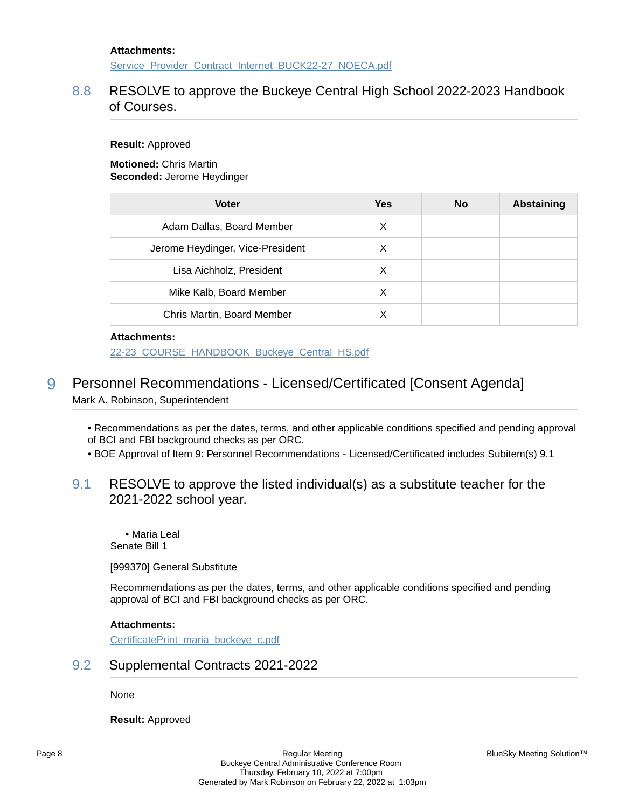[Service\\_Provider\\_Contract\\_Internet\\_BUCK22-27\\_NOECA.pdf](https://bcbucks.blueskymeeting.com/meeting_groups/32/item_attachments/64238)

# 8.8 RESOLVE to approve the Buckeye Central High School 2022-2023 Handbook of Courses.

**Result:** Approved

**Motioned:** Chris Martin **Seconded:** Jerome Heydinger

| <b>Voter</b>                     | Yes | <b>No</b> | <b>Abstaining</b> |
|----------------------------------|-----|-----------|-------------------|
| Adam Dallas, Board Member        | X   |           |                   |
| Jerome Heydinger, Vice-President | X   |           |                   |
| Lisa Aichholz, President         | X   |           |                   |
| Mike Kalb, Board Member          | X   |           |                   |
| Chris Martin, Board Member       |     |           |                   |

### **Attachments:**

[22-23\\_COURSE\\_HANDBOOK\\_Buckeye\\_Central\\_HS.pdf](https://bcbucks.blueskymeeting.com/meeting_groups/32/item_attachments/64356)

# 9 Personnel Recommendations - Licensed/Certificated [Consent Agenda] Mark A. Robinson, Superintendent

• Recommendations as per the dates, terms, and other applicable conditions specified and pending approval of BCI and FBI background checks as per ORC.

• BOE Approval of Item 9: Personnel Recommendations - Licensed/Certificated includes Subitem(s) 9.1

### 9.1 RESOLVE to approve the listed individual(s) as a substitute teacher for the 2021-2022 school year.

• Maria Leal Senate Bill 1

[999370] General Substitute

Recommendations as per the dates, terms, and other applicable conditions specified and pending approval of BCI and FBI background checks as per ORC.

### **Attachments:**

[CertificatePrint\\_maria\\_buckeye\\_c.pdf](https://bcbucks.blueskymeeting.com/meeting_groups/32/item_attachments/64278)

### 9.2 Supplemental Contracts 2021-2022

None

**Result:** Approved

BlueSky Meeting Solution™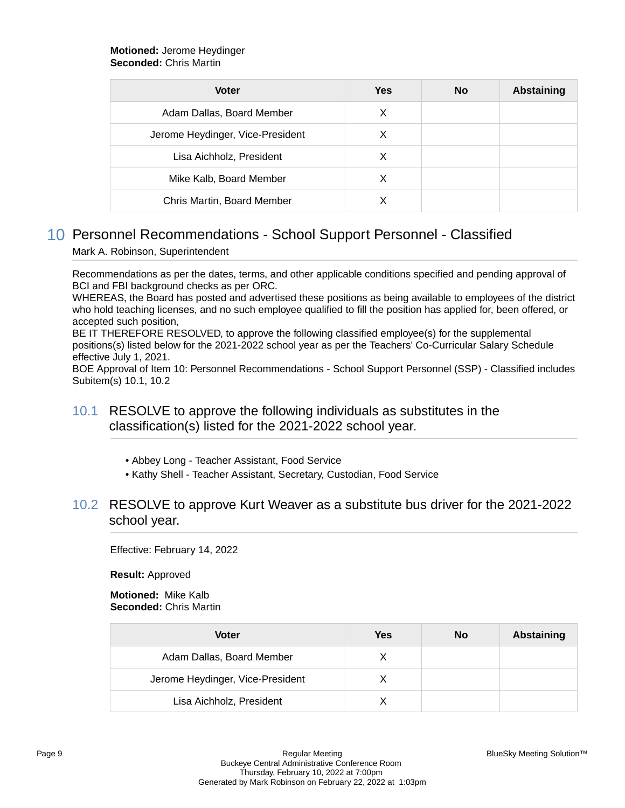### **Motioned:** Jerome Heydinger **Seconded:** Chris Martin

| <b>Voter</b>                     | <b>Yes</b> | <b>No</b> | <b>Abstaining</b> |
|----------------------------------|------------|-----------|-------------------|
| Adam Dallas, Board Member        | X          |           |                   |
| Jerome Heydinger, Vice-President | X          |           |                   |
| Lisa Aichholz, President         | х          |           |                   |
| Mike Kalb, Board Member          | X          |           |                   |
| Chris Martin, Board Member       |            |           |                   |

# 10 Personnel Recommendations - School Support Personnel - Classified Mark A. Robinson, Superintendent

Recommendations as per the dates, terms, and other applicable conditions specified and pending approval of BCI and FBI background checks as per ORC.

WHEREAS, the Board has posted and advertised these positions as being available to employees of the district who hold teaching licenses, and no such employee qualified to fill the position has applied for, been offered, or accepted such position,

BE IT THEREFORE RESOLVED, to approve the following classified employee(s) for the supplemental positions(s) listed below for the 2021-2022 school year as per the Teachers' Co-Curricular Salary Schedule effective July 1, 2021.

BOE Approval of Item 10: Personnel Recommendations - School Support Personnel (SSP) - Classified includes Subitem(s) 10.1, 10.2

## 10.1 RESOLVE to approve the following individuals as substitutes in the classification(s) listed for the 2021-2022 school year.

- Abbey Long Teacher Assistant, Food Service
- Kathy Shell Teacher Assistant, Secretary, Custodian, Food Service

## 10.2 RESOLVE to approve Kurt Weaver as a substitute bus driver for the 2021-2022 school year.

Effective: February 14, 2022

**Result:** Approved

**Motioned:** Mike Kalb **Seconded:** Chris Martin

| Voter                            | Yes | No | Abstaining |
|----------------------------------|-----|----|------------|
| Adam Dallas, Board Member        |     |    |            |
| Jerome Heydinger, Vice-President |     |    |            |
| Lisa Aichholz, President         |     |    |            |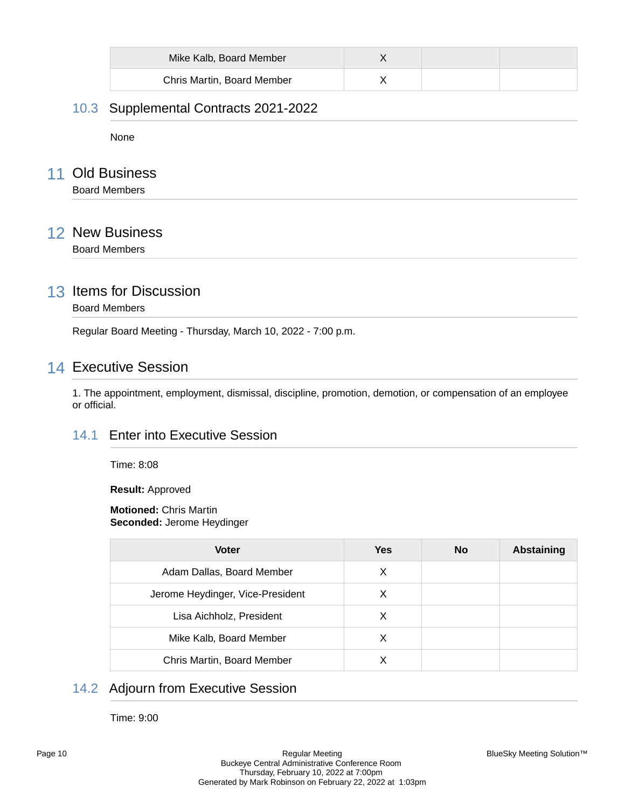| Mike Kalb, Board Member    |  |  |
|----------------------------|--|--|
| Chris Martin, Board Member |  |  |

# 10.3 Supplemental Contracts 2021-2022

None

# 11 Old Business

Board Members

# 12 New Business

Board Members

# 13 Items for Discussion

Board Members

Regular Board Meeting - Thursday, March 10, 2022 - 7:00 p.m.

# 14 Executive Session

1. The appointment, employment, dismissal, discipline, promotion, demotion, or compensation of an employee or official.

### 14.1 Enter into Executive Session

Time: 8:08

**Result:** Approved

### **Motioned:** Chris Martin **Seconded:** Jerome Heydinger

| <b>Voter</b>                     | Yes | <b>No</b> | <b>Abstaining</b> |
|----------------------------------|-----|-----------|-------------------|
| Adam Dallas, Board Member        | X   |           |                   |
| Jerome Heydinger, Vice-President | X   |           |                   |
| Lisa Aichholz, President         | X   |           |                   |
| Mike Kalb, Board Member          | X   |           |                   |
| Chris Martin, Board Member       |     |           |                   |

# 14.2 Adjourn from Executive Session

Time: 9:00